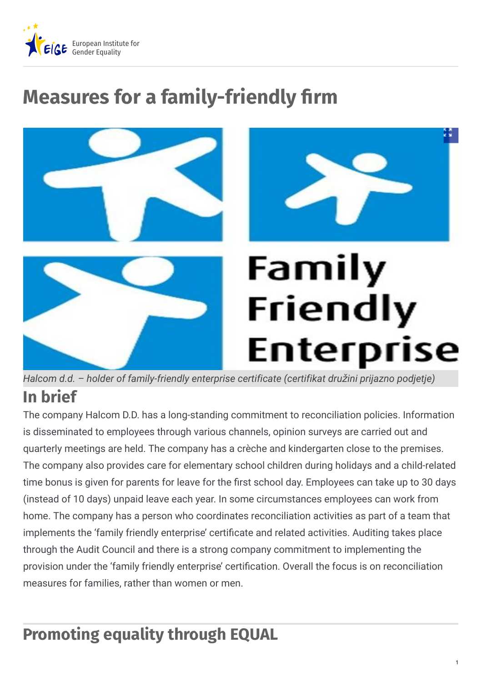

# **Measures for a family-friendly firm**



**In brief** *Halcom d.d. – holder of family-friendly enterprise certificate (certifikat dru*ž*ini prijazno podjetje)*

The company Halcom D.D. has a long-standing commitment to reconciliation policies. Information is disseminated to employees through various channels, opinion surveys are carried out and quarterly meetings are held. The company has a crèche and kindergarten close to the premises. The company also provides care for elementary school children during holidays and a child-related time bonus is given for parents for leave for the first school day. Employees can take up to 30 days (instead of 10 days) unpaid leave each year. In some circumstances employees can work from home. The company has a person who coordinates reconciliation activities as part of a team that implements the 'family friendly enterprise' certificate and related activities. Auditing takes place through the Audit Council and there is a strong company commitment to implementing the provision under the 'family friendly enterprise' certification. Overall the focus is on reconciliation measures for families, rather than women or men.

## **Promoting equality through EQUAL**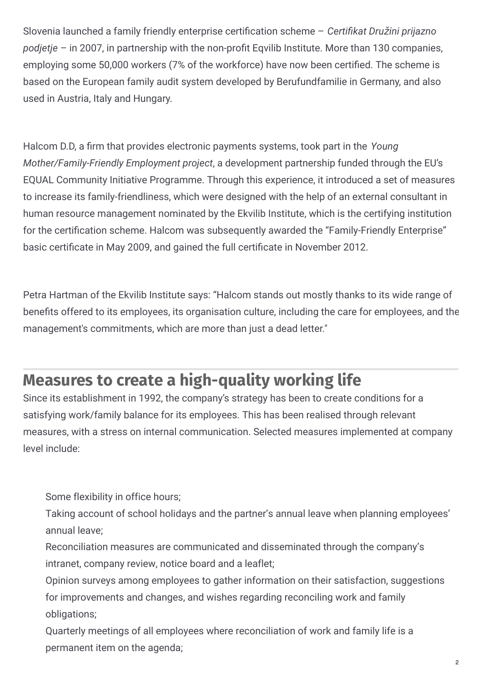Slovenia launched a family friendly enterprise certification scheme - *Certifikat Družini prijazno* podjetje – in 2007, in partnership with the non-profit Eqvilib Institute. More than 130 companies, employing some 50,000 workers (7% of the workforce) have now been certified. The scheme is based on the European family audit system developed by Berufundfamilie in Germany, and also used in Austria, Italy and Hungary.

Halcom D.D, a firm that provides electronic payments systems, took part in the *Young Mother/Family-Friendly Employment project*, a development partnership funded through the EU's EQUAL Community Initiative Programme. Through this experience, it introduced a set of measures to increase its family-friendliness, which were designed with the help of an external consultant in human resource management nominated by the Ekvilib Institute, which is the certifying institution for the certification scheme. Halcom was subsequently awarded the "Family-Friendly Enterprise" basic certificate in May 2009, and gained the full certificate in November 2012.

Petra Hartman of the Ekvilib Institute says: "Halcom stands out mostly thanks to its wide range of benefits offered to its employees, its organisation culture, including the care for employees, and the management's commitments, which are more than just a dead letter."

## **Measures to create a high-quality working life**

Since its establishment in 1992, the company's strategy has been to create conditions for a satisfying work/family balance for its employees. This has been realised through relevant measures, with a stress on internal communication. Selected measures implemented at company level include:

Some flexibility in office hours;

Taking account of school holidays and the partner's annual leave when planning employees' annual leave;

Reconciliation measures are communicated and disseminated through the company's intranet, company review, notice board and a leaflet;

Opinion surveys among employees to gather information on their satisfaction, suggestions for improvements and changes, and wishes regarding reconciling work and family obligations;

Quarterly meetings of all employees where reconciliation of work and family life is a permanent item on the agenda;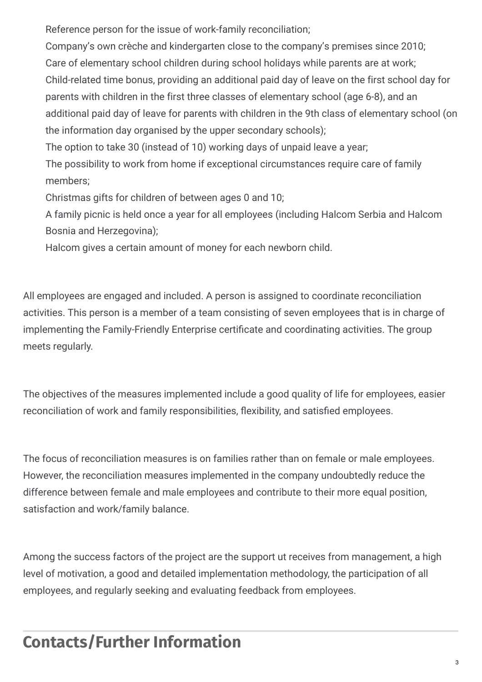Reference person for the issue of work-family reconciliation;

Company's own crèche and kindergarten close to the company's premises since 2010; Care of elementary school children during school holidays while parents are at work; Child-related time bonus, providing an additional paid day of leave on the first school day for parents with children in the first three classes of elementary school (age 6-8), and an additional paid day of leave for parents with children in the 9th class of elementary school (on the information day organised by the upper secondary schools);

The option to take 30 (instead of 10) working days of unpaid leave a year;

The possibility to work from home if exceptional circumstances require care of family members;

Christmas gifts for children of between ages 0 and 10;

A family picnic is held once a year for all employees (including Halcom Serbia and Halcom Bosnia and Herzegovina);

Halcom gives a certain amount of money for each newborn child.

All employees are engaged and included. A person is assigned to coordinate reconciliation activities. This person is a member of a team consisting of seven employees that is in charge of implementing the Family-Friendly Enterprise certificate and coordinating activities. The group meets regularly.

The objectives of the measures implemented include a good quality of life for employees, easier reconciliation of work and family responsibilities, flexibility, and satisfied employees.

The focus of reconciliation measures is on families rather than on female or male employees. However, the reconciliation measures implemented in the company undoubtedly reduce the difference between female and male employees and contribute to their more equal position, satisfaction and work/family balance.

Among the success factors of the project are the support ut receives from management, a high level of motivation, a good and detailed implementation methodology, the participation of all employees, and regularly seeking and evaluating feedback from employees.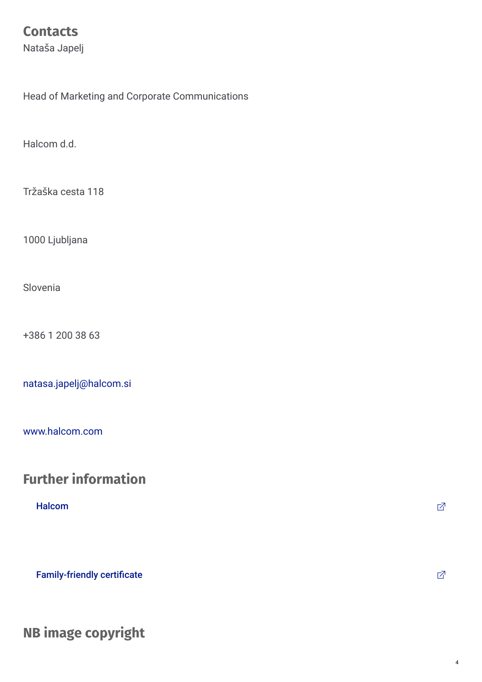### **Contacts**

Nataša Japelj

Head of Marketing and Corporate Communications

Halcom d.d.

Tržaška cesta 118

1000 Ljubljana

Slovenia

+386 1 200 38 63

[natasa.japelj@halcom.si](mailto:natasa.japelj@halcom.si)

[www.halcom.com](http://www.halcom.com)

### **Further information**

#### ${\sf Halcom}$  ${\sf Halcom}$  ${\sf Halcom}$  . The contract of the contract of the contract of the contract of the contract of the contract of the contract of the contract of the contract of the contract of the contract of the contract of the contract of the

[Family-friendly](http://www.certifikatdpp.si/o-certifikatu/) certificate  $\Box$ 

**NB image copyright**